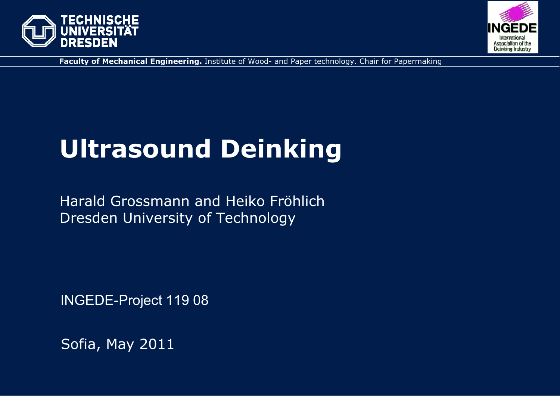



**Faculty of Mechanical Engineering.** Institute of Wood- and Paper technology. Chair for Papermaking

# **Ultrasound Deinking**

Harald Grossmann and Heiko Fröhlich Dresden University of Technology

INGEDE-Project 119 08

Sofia, May 2011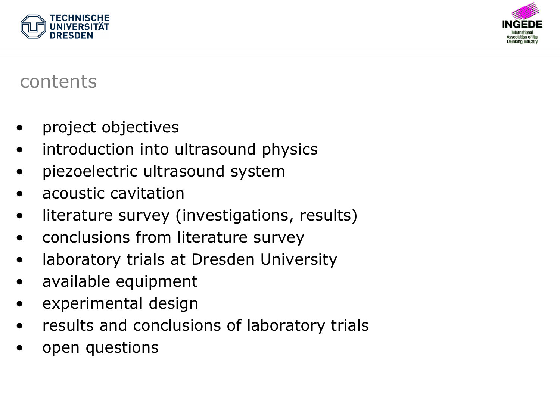



#### contents

- •project objectives
- •introduction into ultrasound physics
- •piezoelectric ultrasound system
- •acoustic cavitation
- •literature survey (investigations, results)
- •conclusions from literature survey
- •laboratory trials at Dresden University
- •available equipment
- •experimental design
- •results and conclusions of laboratory trials
- •open questions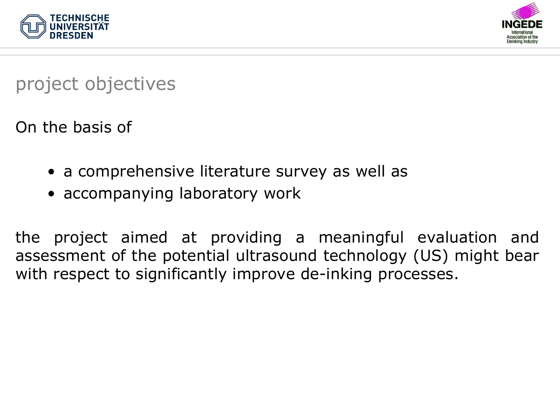



project objectives

On the basis of

- a comprehensive literature survey as well as
- accompanying laboratory work

the project aimed at providing a meaningful evaluation and assessment of the potential ultrasound technology (US) might bear with respect to significantly improve de-inking processes.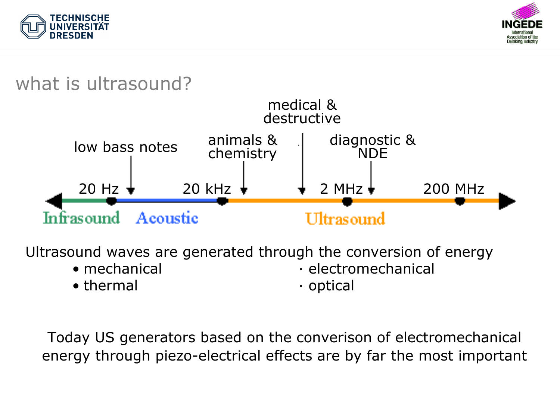



## what is ultrasound?



Ultrasound waves are generated through the conversion of energy

• mechanical

· electromechanical

• thermal

• optical

Today US generators based on the converison of electromechanical energy through piezo-electrical effects are by far the most important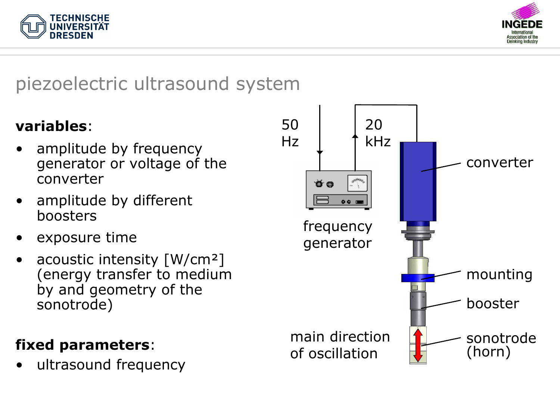



## piezoelectric ultrasound system

#### **variables**:

- • amplitude by frequency generator or voltage of the converter
- • amplitude by different boosters
- •exposure time
- • acoustic intensity [W/cm²] (energy transfer to medium by and geometry of the sonotrode)

#### **fixed parameters**:

•ultrasound frequency

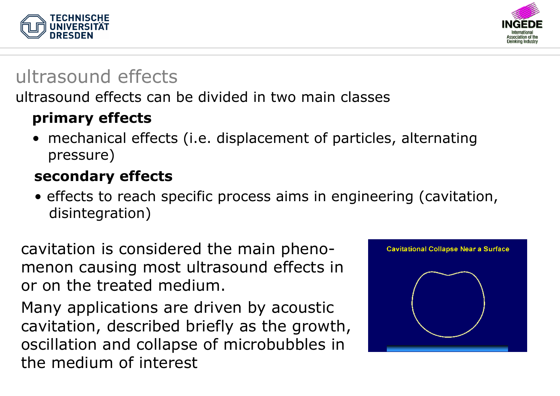



# ultrasound effects

#### ultrasound effects can be divided in two main classes

#### **primary effects**

• mechanical effects (i.e. displacement of particles, alternating pressure)

#### **secondary effects**

• effects to reach specific process aims in engineering (cavitation, disintegration)

cavitation is considered the main phenomenon causing most ultrasound effects in or on the treated medium.

Many applications are driven by acoustic cavitation, described briefly as the growth, oscillation and collapse of microbubbles in the medium of interest

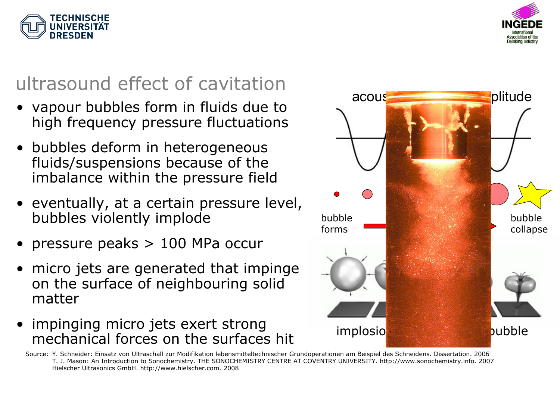



# ultrasound effect of cavitation

- vapour bubbles form in fluids due to high frequency pressure fluctuations
- bubbles deform in heterogeneous fluids/suspensions because of the imbalance within the pressure field
- eventually, at a certain pressure level, bubbles violently implode
- •pressure peaks > 100 MPa occur
- • micro jets are generated that impinge on the surface of neighbouring solid matter
- impinging micro jets exert strong mechanical forces on the surfaces hit

Source: Y. Schneider: Einsatz von Ultraschall zur Modifikation lebensmitteltechnischer Grundoperationen am Beispiel des Schneidens. Dissertation. 2006 T. J. Mason: An Introduction to Sonochemistry. THE SONOCHEMISTRY CENTRE AT COVENTRY UNIVERSITY. http://www.sonochemistry.info. 2007 Hielscher Ultrasonics GmbH. http://www.hielscher.com. 2008

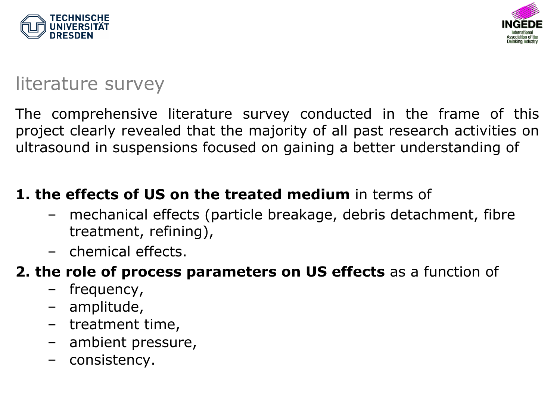



## literature survey

The comprehensive literature survey conducted in the frame of this project clearly revealed that the majority of all past research activities on ultrasound in suspensions focused on gaining a better understanding of

#### **1. the effects of US on the treated medium** in terms of

- mechanical effects (particle breakage, debris detachment, fibre treatment, refining),
- chemical effects.

#### **2. the role of process parameters on US effects** as a function of

- –frequency,
- amplitude,
- treatment time,
- –ambient pressure,
- consistency.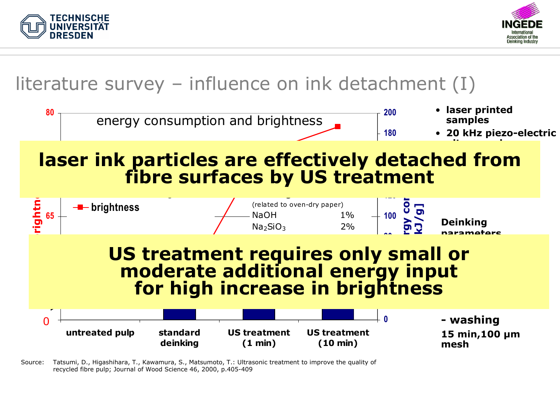



## literature survey – influence on ink detachment (I)



Source: Tatsumi, D., Higashihara, T., Kawamura, S., Matsumoto, T.: Ultrasonic treatment to improve the quality of recycled fibre pulp; Journal of Wood Science 46, 2000, p.405-409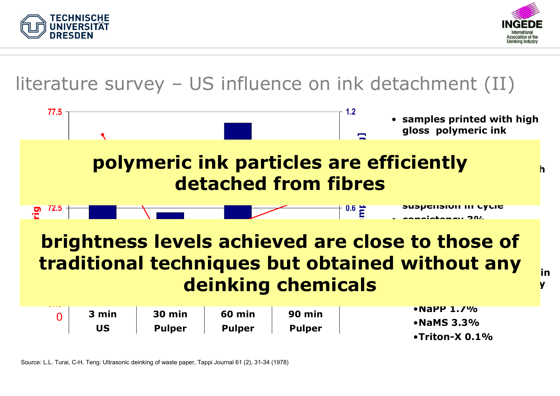



#### literature survey – US influence on ink detachment (II)

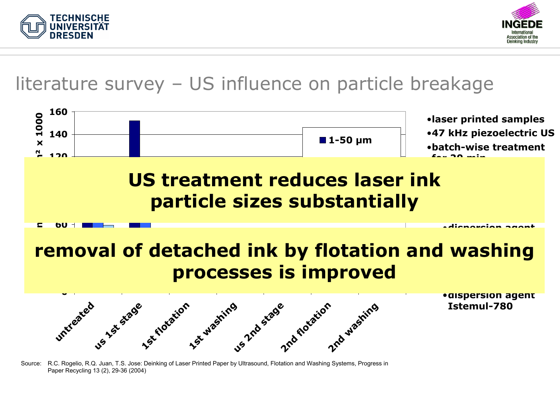



## literature survey – US influence on particle breakage



Source: R.C. Rogelio, R.Q. Juan, T.S. Jose: Deinking of Laser Printed Paper by Ultrasound, Flotation and Washing Systems, Progress in Paper Recycling 13 (2), 29-36 (2004)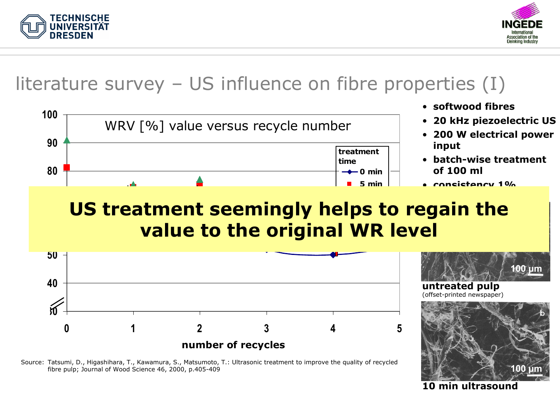



## literature survey – US influence on fibre properties (I)



# **US treatment seemingly helps to regain the value to the original WR level**





**10 min ultrasound**

**100 µm**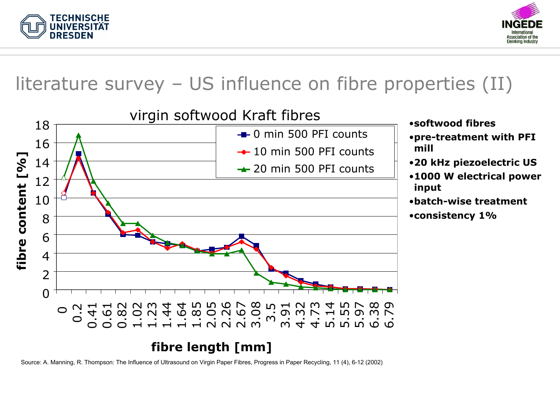



## literature survey – US influence on fibre properties (II)



Source: A. Manning, R. Thompson: The Influence of Ultrasound on Virgin Paper Fibres, Progress in Paper Recycling, 11 (4), 6-12 (2002)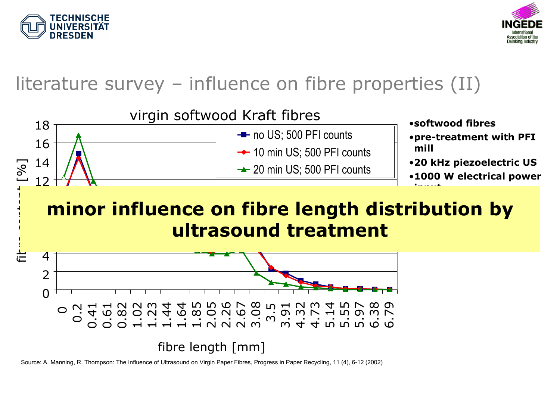



## literature survey – influence on fibre properties (II)



Source: A. Manning, R. Thompson: The Influence of Ultrasound on Virgin Paper Fibres, Progress in Paper Recycling, 11 (4), 6-12 (2002)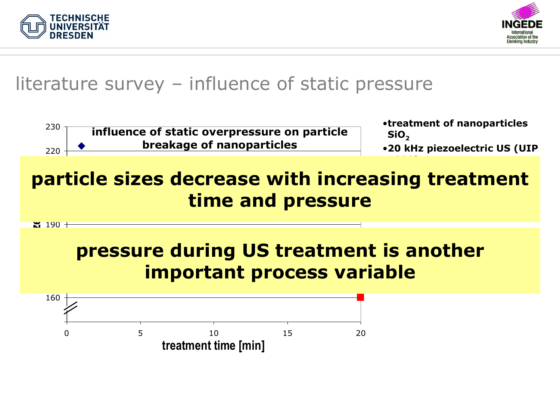



## literature survey – influence of static pressure

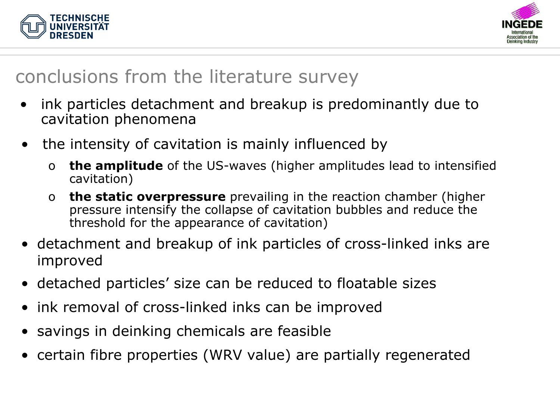



# conclusions from the literature survey

- • ink particles detachment and breakup is predominantly due to cavitation phenomena
- • the intensity of cavitation is mainly influenced by
	- o **the amplitude** of the US-waves (higher amplitudes lead to intensified cavitation)
	- o **the static overpressure** prevailing in the reaction chamber (higher pressure intensify the collapse of cavitation bubbles and reduce the threshold for the appearance of cavitation)
- detachment and breakup of ink particles of cross-linked inks are improved
- detached particles' size can be reduced to floatable sizes
- ink removal of cross-linked inks can be improved
- savings in deinking chemicals are feasible
- certain fibre properties (WRV value) are partially regenerated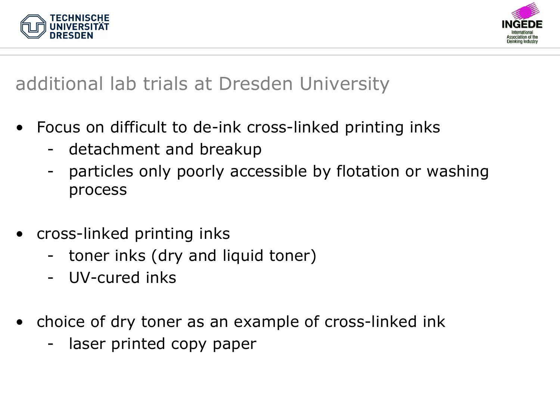



## additional lab trials at Dresden University

- • Focus on difficult to de-ink cross-linked printing inks
	- detachment and breakup
	- particles only poorly accessible by flotation or washing process
- • cross-linked printing inks
	- toner inks (dry and liquid toner)
	- UV-cured inks
- • choice of dry toner as an example of cross-linked ink
	- laser printed copy paper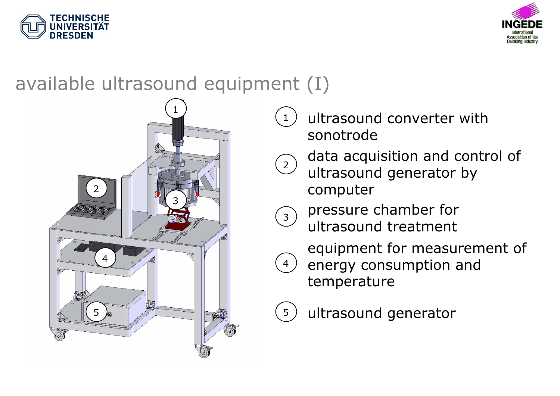



## available ultrasound equipment (I)



- ultrasound converter with sonotrode
- $\binom{2}{}$  data acquisition and control of ultrasound generator by
	- computer
- $\left(3\right)$  pressure chamber for ultrasound treatment



1

 equipment for measurement of energy consumption and temperature

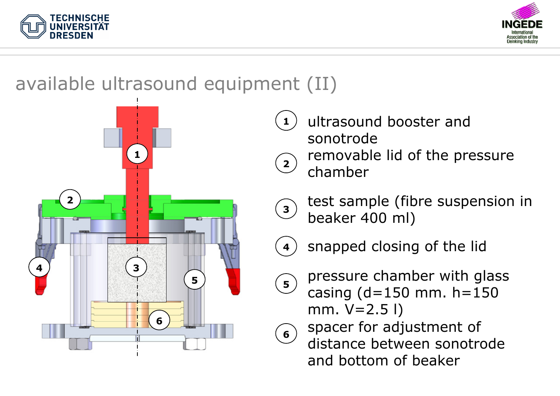



# available ultrasound equipment (II)



- $\left( \mathbf{2}\right)$  removable lid of the pressure chamber**11**) ultrasound booster and sonotrode
- $\binom{3}{}$
- test sample (fibre suspension in beaker 400 ml)



snapped closing of the lid



 pressure chamber with glass casing (d=150 mm. h=150 mm.  $V=2.5$  l)



 spacer for adjustment of distance between sonotrodeand bottom of beaker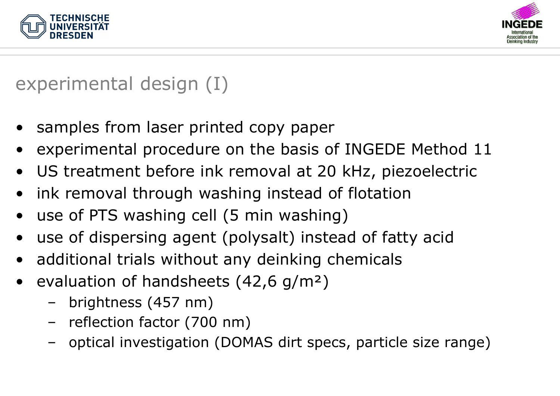



experimental design (I)

- •samples from laser printed copy paper
- •experimental procedure on the basis of INGEDE Method 11
- •US treatment before ink removal at 20 kHz, piezoelectric
- $\bullet$ ink removal through washing instead of flotation
- •use of PTS washing cell (5 min washing)
- •use of dispersing agent (polysalt) instead of fatty acid
- •additional trials without any deinking chemicals
- • evaluation of handsheets (42,6 g/m²)
	- –brightness (457 nm)
	- –reflection factor (700 nm)
	- –optical investigation (DOMAS dirt specs, particle size range)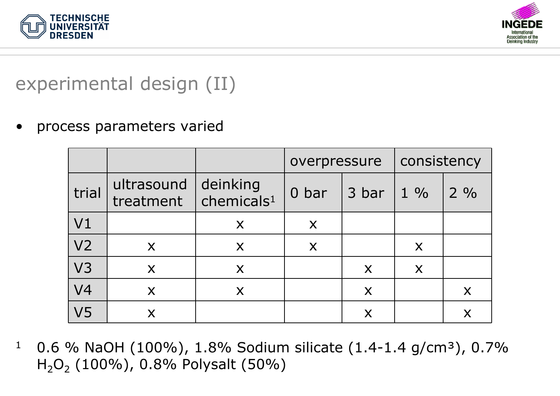



# experimental design (II)

•process parameters varied

|                |                         |                                        | overpressure |                           | consistency    |                |
|----------------|-------------------------|----------------------------------------|--------------|---------------------------|----------------|----------------|
| trial          | ultrasound<br>treatment | deinking<br>$ $ chemicals <sup>1</sup> | 0 bar        | 3 bar                     | $1\frac{9}{6}$ | $2\frac{9}{6}$ |
| V <sub>1</sub> |                         | X                                      | X            |                           |                |                |
| V <sub>2</sub> | X                       | X                                      | X            |                           | X              |                |
| V <sub>3</sub> | X                       | X                                      |              | X                         | X              |                |
| V <sub>4</sub> | X                       | X                                      |              | X                         |                | X              |
| V <sub>5</sub> | X                       |                                        |              | $\boldsymbol{\mathsf{X}}$ |                | X              |

10.6 % NaOH (100%), 1.8% Sodium silicate (1.4-1.4 g/cm<sup>3</sup>), 0.7% H 2O 2 (100%), 0.8% Polysalt (50%)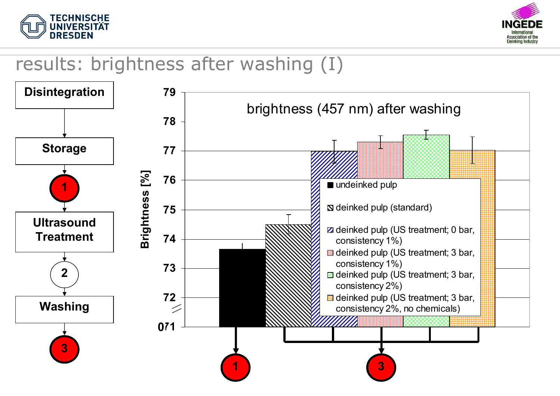



## results: brightness after washing (I)

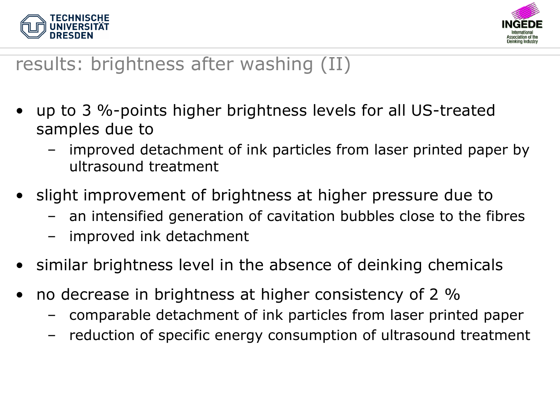



# results: brightness after washing (II)

- • up to 3 %-points higher brightness levels for all US-treated samples due to
	- – improved detachment of ink particles from laser printed paper by ultrasound treatment
- • slight improvement of brightness at higher pressure due to
	- –an intensified generation of cavitation bubbles close to the fibres
	- –improved ink detachment
- •similar brightness level in the absence of deinking chemicals
- • no decrease in brightness at higher consistency of 2 %
	- –comparable detachment of ink particles from laser printed paper
	- –reduction of specific energy consumption of ultrasound treatment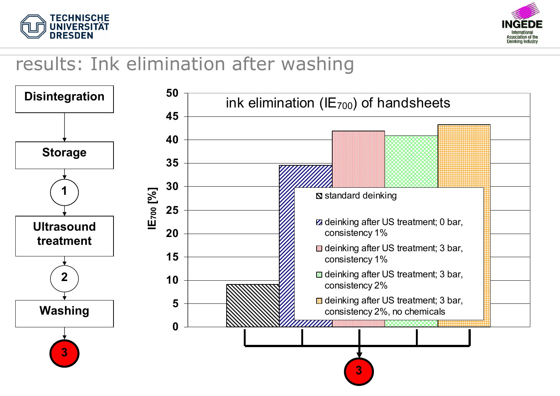



## results: Ink elimination after washing

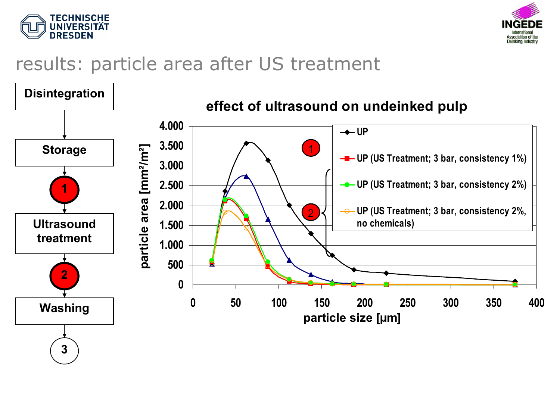



## results: particle area after US treatment

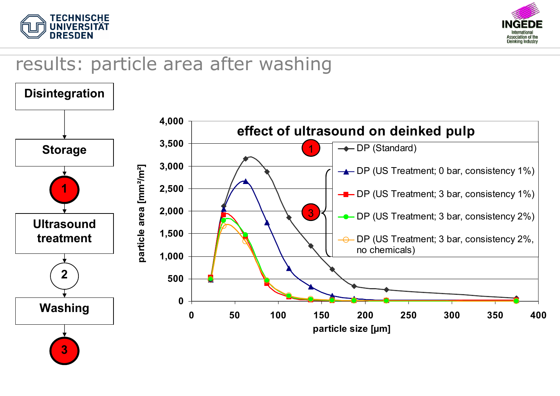



## results: particle area after washing

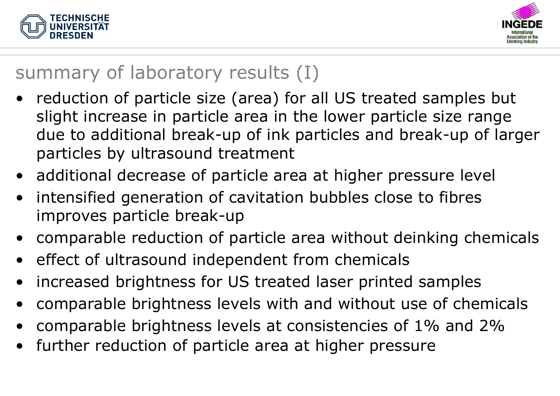



# summary of laboratory results (I)

- reduction of particle size (area) for all US treated samples but slight increase in particle area in the lower particle size range due to additional break-up of ink particles and break-up of larger particles by ultrasound treatment
- additional decrease of particle area at higher pressure level
- • intensified generation of cavitation bubbles close to fibres improves particle break-up
- $\bullet$ comparable reduction of particle area without deinking chemicals
- •effect of ultrasound independent from chemicals
- •increased brightness for US treated laser printed samples
- •comparable brightness levels with and without use of chemicals
- •comparable brightness levels at consistencies of 1% and 2%
- •further reduction of particle area at higher pressure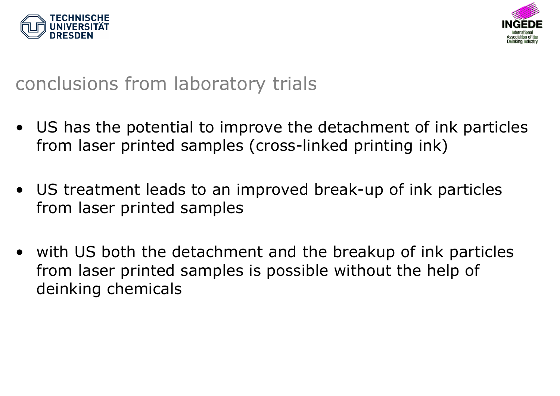



#### conclusions from laboratory trials

- US has the potential to improve the detachment of ink particles from laser printed samples (cross-linked printing ink)
- US treatment leads to an improved break-up of ink particles from laser printed samples
- with US both the detachment and the breakup of ink particles from laser printed samples is possible without the help of deinking chemicals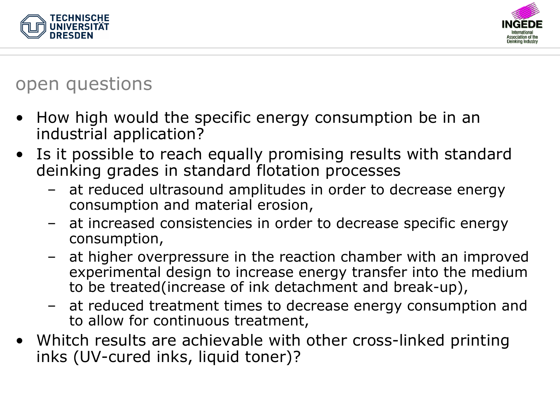



## open questions

- • How high would the specific energy consumption be in an industrial application?
- • Is it possible to reach equally promising results with standard deinking grades in standard flotation processes
	- – at reduced ultrasound amplitudes in order to decrease energy consumption and material erosion,
	- – at increased consistencies in order to decrease specific energy consumption,
	- – at higher overpressure in the reaction chamber with an improved experimental design to increase energy transfer into the medium to be treated(increase of ink detachment and break-up),
	- – at reduced treatment times to decrease energy consumption and to allow for continuous treatment,
- Whitch results are achievable with other cross-linked printing inks (UV-cured inks, liquid toner)?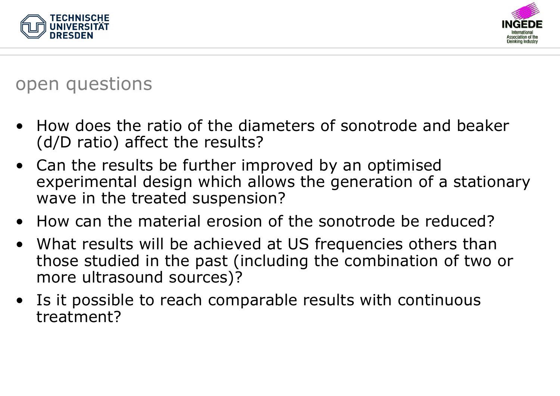



#### open questions

- • How does the ratio of the diameters of sonotrode and beaker (d/D ratio) affect the results?
- Can the results be further improved by an optimised experimental design which allows the generation of a stationary wave in the treated suspension?
- How can the material erosion of the sonotrode be reduced?
- What results will be achieved at US frequencies others than those studied in the past (including the combination of two or more ultrasound sources)?
- $\bullet$  Is it possible to reach comparable results with continuous treatment?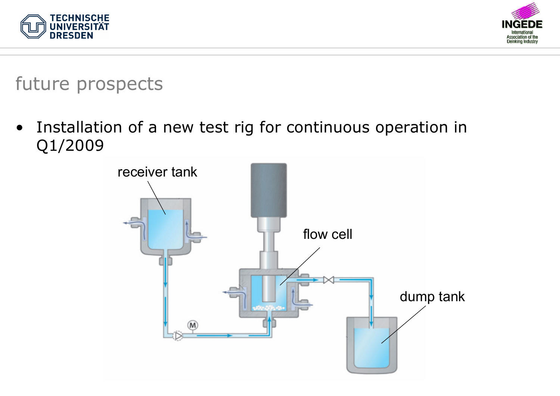



future prospects

 $\bullet$  Installation of a new test rig for continuous operation in Q1/2009

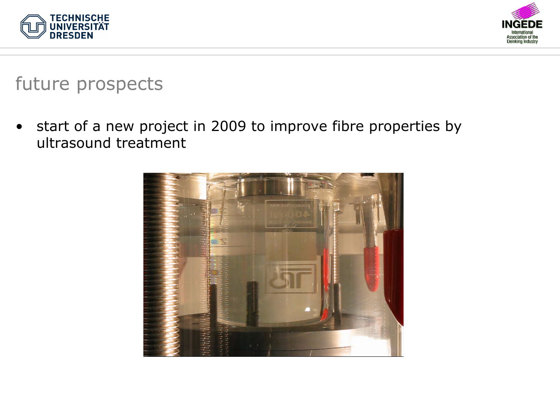



#### future prospects

 $\bullet$  start of a new project in 2009 to improve fibre properties by ultrasound treatment